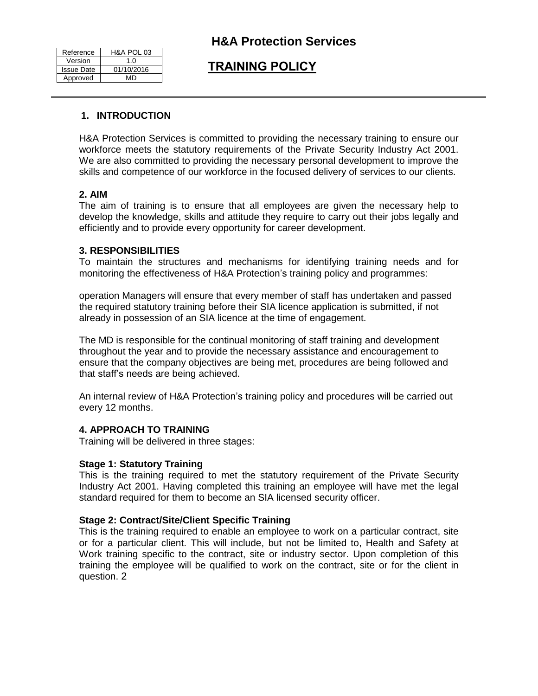| Reference         | H&A POL 03 |
|-------------------|------------|
| Version           | 1.0        |
| <b>Issue Date</b> | 01/10/2016 |
| Approved          | MD         |

## **H&A Protection Services**

# **TRAINING POLICY**

## **1. INTRODUCTION**

H&A Protection Services is committed to providing the necessary training to ensure our workforce meets the statutory requirements of the Private Security Industry Act 2001. We are also committed to providing the necessary personal development to improve the skills and competence of our workforce in the focused delivery of services to our clients.

## **2. AIM**

The aim of training is to ensure that all employees are given the necessary help to develop the knowledge, skills and attitude they require to carry out their jobs legally and efficiently and to provide every opportunity for career development.

### **3. RESPONSIBILITIES**

To maintain the structures and mechanisms for identifying training needs and for monitoring the effectiveness of H&A Protection's training policy and programmes:

operation Managers will ensure that every member of staff has undertaken and passed the required statutory training before their SIA licence application is submitted, if not already in possession of an SIA licence at the time of engagement.

The MD is responsible for the continual monitoring of staff training and development throughout the year and to provide the necessary assistance and encouragement to ensure that the company objectives are being met, procedures are being followed and that staff's needs are being achieved.

An internal review of H&A Protection's training policy and procedures will be carried out every 12 months.

## **4. APPROACH TO TRAINING**

Training will be delivered in three stages:

#### **Stage 1: Statutory Training**

This is the training required to met the statutory requirement of the Private Security Industry Act 2001. Having completed this training an employee will have met the legal standard required for them to become an SIA licensed security officer.

#### **Stage 2: Contract/Site/Client Specific Training**

This is the training required to enable an employee to work on a particular contract, site or for a particular client. This will include, but not be limited to, Health and Safety at Work training specific to the contract, site or industry sector. Upon completion of this training the employee will be qualified to work on the contract, site or for the client in question. 2